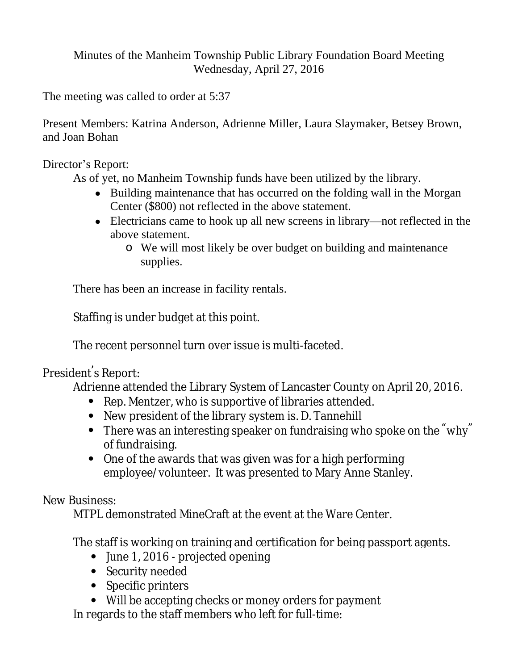Minutes of the Manheim Township Public Library Foundation Board Meeting Wednesday, April 27, 2016

The meeting was called to order at 5:37

Present Members: Katrina Anderson, Adrienne Miller, Laura Slaymaker, Betsey Brown, and Joan Bohan

Director's Report:

As of yet, no Manheim Township funds have been utilized by the library.

- Building maintenance that has occurred on the folding wall in the Morgan Center (\$800) not reflected in the above statement.
- Electricians came to hook up all new screens in library—not reflected in the above statement.
	- o We will most likely be over budget on building and maintenance supplies.

There has been an increase in facility rentals.

Staffing is under budget at this point.

The recent personnel turn over issue is multi-faceted.

President' s Report:

Adrienne attended the Library System of Lancaster County on April 20, 2016.

- Rep. Mentzer, who is supportive of libraries attended.
- New president of the library system is. D. Tannehill
- There was an interesting speaker on fundraising who spoke on the "why" of fundraising.
- One of the awards that was given was for a high performing employee/volunteer. It was presented to Mary Anne Stanley.

New Business:

MTPL demonstrated MineCraft at the event at the Ware Center.

The staff is working on training and certification for being passport agents.

- June 1, 2016 projected opening
- Security needed
- Specific printers
- Will be accepting checks or money orders for payment

In regards to the staff members who left for full-time: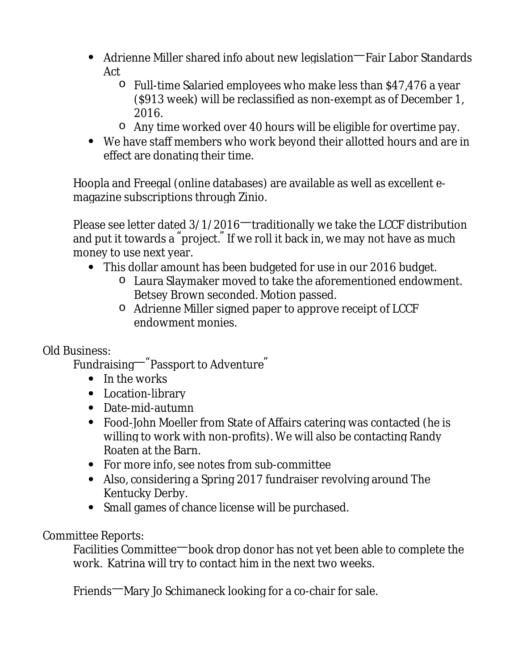- Adrienne Miller shared info about new legislation—Fair Labor Standards Act
	- o Full-time Salaried employees who make less than \$47,476 a year (\$913 week) will be reclassified as non-exempt as of December 1, 2016.
	- o Any time worked over 40 hours will be eligible for overtime pay.
- We have staff members who work beyond their allotted hours and are in effect are donating their time.

Hoopla and Freegal (online databases) are available as well as excellent emagazine subscriptions through Zinio.

Please see letter dated 3/1/2016—traditionally we take the LCCF distribution and put it towards a " project. " If we roll it back in, we may not have as much money to use next year.

- This dollar amount has been budgeted for use in our 2016 budget.
	- o Laura Slaymaker moved to take the aforementioned endowment. Betsey Brown seconded. Motion passed.
	- o Adrienne Miller signed paper to approve receipt of LCCF endowment monies.

Old Business:

Fundraising—"Passport to Adventure"

- In the works
- Location-library
- Date-mid-autumn
- Food-John Moeller from State of Affairs catering was contacted (he is willing to work with non-profits). We will also be contacting Randy Roaten at the Barn.
- For more info, see notes from sub-committee
- Also, considering a Spring 2017 fundraiser revolving around The Kentucky Derby.
- Small games of chance license will be purchased.

Committee Reports:

Facilities Committee—book drop donor has not yet been able to complete the work. Katrina will try to contact him in the next two weeks.

Friends—Mary Jo Schimaneck looking for a co-chair for sale.